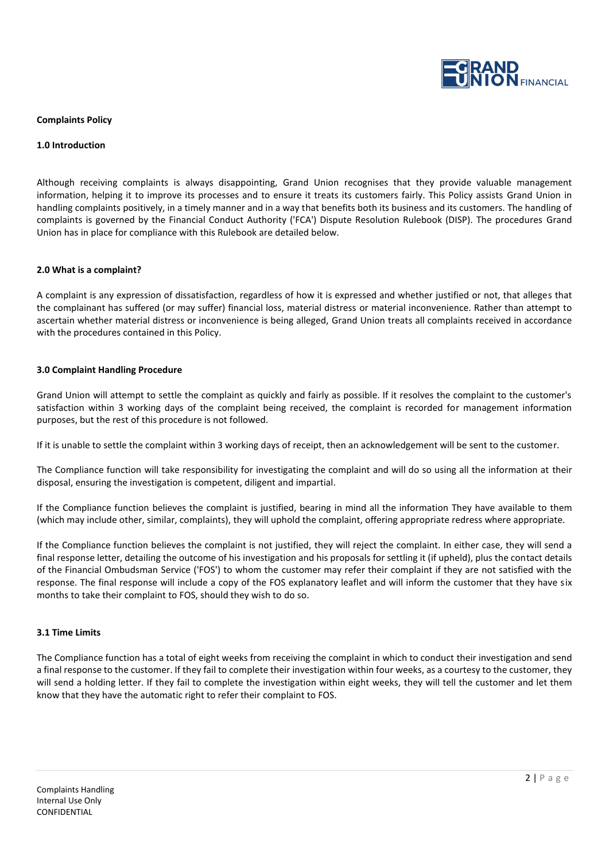

# **Complaints Policy**

## **1.0 Introduction**

Although receiving complaints is always disappointing, Grand Union recognises that they provide valuable management information, helping it to improve its processes and to ensure it treats its customers fairly. This Policy assists Grand Union in handling complaints positively, in a timely manner and in a way that benefits both its business and its customers. The handling of complaints is governed by the Financial Conduct Authority ('FCA') Dispute Resolution Rulebook (DISP). The procedures Grand Union has in place for compliance with this Rulebook are detailed below.

# **2.0 What is a complaint?**

A complaint is any expression of dissatisfaction, regardless of how it is expressed and whether justified or not, that alleges that the complainant has suffered (or may suffer) financial loss, material distress or material inconvenience. Rather than attempt to ascertain whether material distress or inconvenience is being alleged, Grand Union treats all complaints received in accordance with the procedures contained in this Policy.

# **3.0 Complaint Handling Procedure**

Grand Union will attempt to settle the complaint as quickly and fairly as possible. If it resolves the complaint to the customer's satisfaction within 3 working days of the complaint being received, the complaint is recorded for management information purposes, but the rest of this procedure is not followed.

If it is unable to settle the complaint within 3 working days of receipt, then an acknowledgement will be sent to the customer.

The Compliance function will take responsibility for investigating the complaint and will do so using all the information at their disposal, ensuring the investigation is competent, diligent and impartial.

If the Compliance function believes the complaint is justified, bearing in mind all the information They have available to them (which may include other, similar, complaints), they will uphold the complaint, offering appropriate redress where appropriate.

If the Compliance function believes the complaint is not justified, they will reject the complaint. In either case, they will send a final response letter, detailing the outcome of his investigation and his proposals for settling it (if upheld), plus the contact details of the Financial Ombudsman Service ('FOS') to whom the customer may refer their complaint if they are not satisfied with the response. The final response will include a copy of the FOS explanatory leaflet and will inform the customer that they have six months to take their complaint to FOS, should they wish to do so.

#### **3.1 Time Limits**

The Compliance function has a total of eight weeks from receiving the complaint in which to conduct their investigation and send a final response to the customer. If they fail to complete their investigation within four weeks, as a courtesy to the customer, they will send a holding letter. If they fail to complete the investigation within eight weeks, they will tell the customer and let them know that they have the automatic right to refer their complaint to FOS.